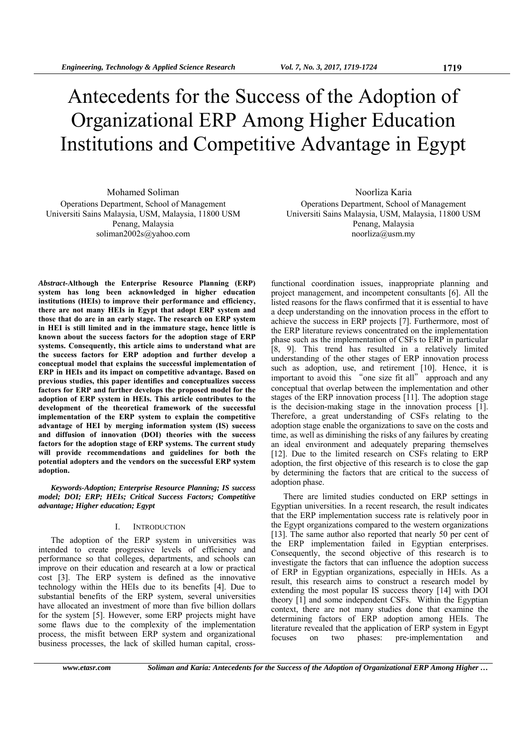# Antecedents for the Success of the Adoption of Organizational ERP Among Higher Education Institutions and Competitive Advantage in Egypt

Mohamed Soliman Operations Department, School of Management Universiti Sains Malaysia, USM, Malaysia, 11800 USM Penang, Malaysia soliman2002s@yahoo.com

Noorliza Karia

Operations Department, School of Management Universiti Sains Malaysia, USM, Malaysia, 11800 USM Penang, Malaysia noorliza@usm.my

*Abstract***-Although the Enterprise Resource Planning (ERP) system has long been acknowledged in higher education institutions (HEIs) to improve their performance and efficiency, there are not many HEIs in Egypt that adopt ERP system and those that do are in an early stage. The research on ERP system in HEI is still limited and in the immature stage, hence little is known about the success factors for the adoption stage of ERP systems. Consequently, this article aims to understand what are the success factors for ERP adoption and further develop a conceptual model that explains the successful implementation of ERP in HEIs and its impact on competitive advantage. Based on previous studies, this paper identifies and conceptualizes success factors for ERP and further develops the proposed model for the adoption of ERP system in HEIs. This article contributes to the development of the theoretical framework of the successful implementation of the ERP system to explain the competitive advantage of HEI by merging information system (IS) success and diffusion of innovation (DOI) theories with the success factors for the adoption stage of ERP systems. The current study will provide recommendations and guidelines for both the potential adopters and the vendors on the successful ERP system adoption.** 

*Keywords-Adoption; Enterprise Resource Planning; IS success model; DOI; ERP; HEIs; Critical Success Factors; Competitive advantage; Higher education; Egypt* 

## I. INTRODUCTION

The adoption of the ERP system in universities was intended to create progressive levels of efficiency and performance so that colleges, departments, and schools can improve on their education and research at a low or practical cost [3]. The ERP system is defined as the innovative technology within the HEIs due to its benefits [4]. Due to substantial benefits of the ERP system, several universities have allocated an investment of more than five billion dollars for the system [5]. However, some ERP projects might have some flaws due to the complexity of the implementation process, the misfit between ERP system and organizational business processes, the lack of skilled human capital, cross-

functional coordination issues, inappropriate planning and project management, and incompetent consultants [6]. All the listed reasons for the flaws confirmed that it is essential to have a deep understanding on the innovation process in the effort to achieve the success in ERP projects [7]. Furthermore, most of the ERP literature reviews concentrated on the implementation phase such as the implementation of CSFs to ERP in particular [8, 9]. This trend has resulted in a relatively limited understanding of the other stages of ERP innovation process such as adoption, use, and retirement [10]. Hence, it is important to avoid this "one size fit all" approach and any conceptual that overlap between the implementation and other stages of the ERP innovation process [11]. The adoption stage is the decision-making stage in the innovation process [1]. Therefore, a great understanding of CSFs relating to the adoption stage enable the organizations to save on the costs and time, as well as diminishing the risks of any failures by creating an ideal environment and adequately preparing themselves [12]. Due to the limited research on CSFs relating to ERP adoption, the first objective of this research is to close the gap by determining the factors that are critical to the success of adoption phase.

There are limited studies conducted on ERP settings in Egyptian universities. In a recent research, the result indicates that the ERP implementation success rate is relatively poor in the Egypt organizations compared to the western organizations [13]. The same author also reported that nearly 50 per cent of the ERP implementation failed in Egyptian enterprises. Consequently, the second objective of this research is to investigate the factors that can influence the adoption success of ERP in Egyptian organizations, especially in HEIs. As a result, this research aims to construct a research model by extending the most popular IS success theory [14] with DOI theory [1] and some independent CSFs. Within the Egyptian context, there are not many studies done that examine the determining factors of ERP adoption among HEIs. The literature revealed that the application of ERP system in Egypt focuses on two phases: pre-implementation and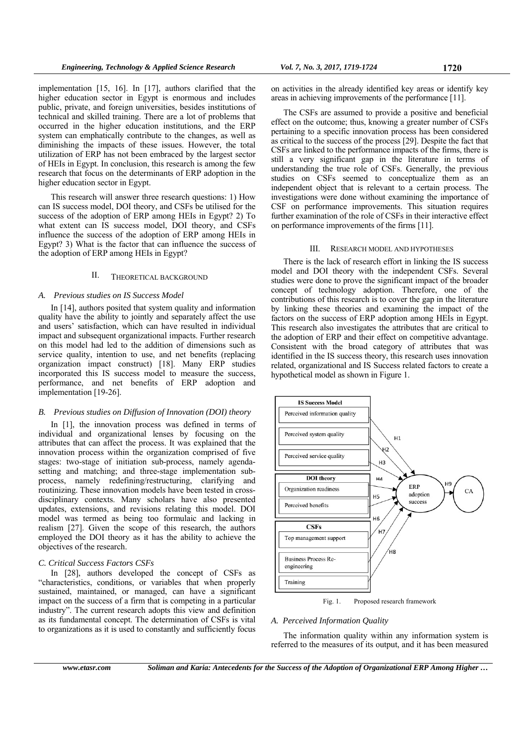implementation [15, 16]. In [17], authors clarified that the higher education sector in Egypt is enormous and includes public, private, and foreign universities, besides institutions of technical and skilled training. There are a lot of problems that occurred in the higher education institutions, and the ERP system can emphatically contribute to the changes, as well as diminishing the impacts of these issues. However, the total utilization of ERP has not been embraced by the largest sector of HEIs in Egypt. In conclusion, this research is among the few research that focus on the determinants of ERP adoption in the higher education sector in Egypt.

This research will answer three research questions: 1) How can IS success model, DOI theory, and CSFs be utilised for the success of the adoption of ERP among HEIs in Egypt? 2) To what extent can IS success model, DOI theory, and CSFs influence the success of the adoption of ERP among HEIs in Egypt? 3) What is the factor that can influence the success of the adoption of ERP among HEIs in Egypt?

## II. THEORETICAL BACKGROUND

## *A. Previous studies on IS Success Model*

In [14], authors posited that system quality and information quality have the ability to jointly and separately affect the use and users' satisfaction, which can have resulted in individual impact and subsequent organizational impacts. Further research on this model had led to the addition of dimensions such as service quality, intention to use, and net benefits (replacing organization impact construct) [18]. Many ERP studies incorporated this IS success model to measure the success, performance, and net benefits of ERP adoption and implementation [19-26].

#### *B. Previous studies on Diffusion of Innovation (DOI) theory*

In [1], the innovation process was defined in terms of individual and organizational lenses by focusing on the attributes that can affect the process. It was explained that the innovation process within the organization comprised of five stages: two-stage of initiation sub-process, namely agendasetting and matching; and three-stage implementation subprocess, namely redefining/restructuring, clarifying and routinizing. These innovation models have been tested in crossdisciplinary contexts. Many scholars have also presented updates, extensions, and revisions relating this model. DOI model was termed as being too formulaic and lacking in realism [27]. Given the scope of this research, the authors employed the DOI theory as it has the ability to achieve the objectives of the research.

#### *C. Critical Success Factors CSFs*

In [28], authors developed the concept of CSFs as "characteristics, conditions, or variables that when properly sustained, maintained, or managed, can have a significant impact on the success of a firm that is competing in a particular industry". The current research adopts this view and definition as its fundamental concept. The determination of CSFs is vital to organizations as it is used to constantly and sufficiently focus

on activities in the already identified key areas or identify key areas in achieving improvements of the performance [11].

The CSFs are assumed to provide a positive and beneficial effect on the outcome; thus, knowing a greater number of CSFs pertaining to a specific innovation process has been considered as critical to the success of the process [29]. Despite the fact that CSFs are linked to the performance impacts of the firms, there is still a very significant gap in the literature in terms of understanding the true role of CSFs. Generally, the previous studies on CSFs seemed to conceptualize them as an independent object that is relevant to a certain process. The investigations were done without examining the importance of CSF on performance improvements. This situation requires further examination of the role of CSFs in their interactive effect on performance improvements of the firms [11].

## III. RESEARCH MODEL AND HYPOTHESES

There is the lack of research effort in linking the IS success model and DOI theory with the independent CSFs. Several studies were done to prove the significant impact of the broader concept of technology adoption. Therefore, one of the contributions of this research is to cover the gap in the literature by linking these theories and examining the impact of the factors on the success of ERP adoption among HEIs in Egypt. This research also investigates the attributes that are critical to the adoption of ERP and their effect on competitive advantage. Consistent with the broad category of attributes that was identified in the IS success theory, this research uses innovation related, organizational and IS Success related factors to create a hypothetical model as shown in Figure 1.



Fig. 1. Proposed research framework

#### *A. Perceived Information Quality*

The information quality within any information system is referred to the measures of its output, and it has been measured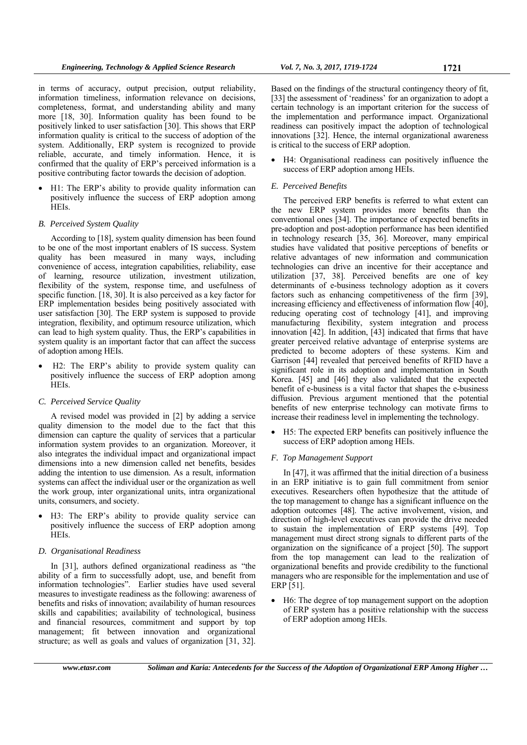in terms of accuracy, output precision, output reliability, information timeliness, information relevance on decisions, completeness, format, and understanding ability and many more [18, 30]. Information quality has been found to be positively linked to user satisfaction [30]. This shows that ERP information quality is critical to the success of adoption of the system. Additionally, ERP system is recognized to provide reliable, accurate, and timely information. Hence, it is confirmed that the quality of ERP's perceived information is a positive contributing factor towards the decision of adoption.

 H1: The ERP's ability to provide quality information can positively influence the success of ERP adoption among HEIs.

#### *B. Perceived System Quality*

According to [18], system quality dimension has been found to be one of the most important enablers of IS success. System quality has been measured in many ways, including convenience of access, integration capabilities, reliability, ease of learning, resource utilization, investment utilization, flexibility of the system, response time, and usefulness of specific function. [18, 30]. It is also perceived as a key factor for ERP implementation besides being positively associated with user satisfaction [30]. The ERP system is supposed to provide integration, flexibility, and optimum resource utilization, which can lead to high system quality. Thus, the ERP's capabilities in system quality is an important factor that can affect the success of adoption among HEIs.

 H2: The ERP's ability to provide system quality can positively influence the success of ERP adoption among HEIs.

## *C. Perceived Service Quality*

A revised model was provided in [2] by adding a service quality dimension to the model due to the fact that this dimension can capture the quality of services that a particular information system provides to an organization. Moreover, it also integrates the individual impact and organizational impact dimensions into a new dimension called net benefits, besides adding the intention to use dimension. As a result, information systems can affect the individual user or the organization as well the work group, inter organizational units, intra organizational units, consumers, and society.

 H3: The ERP's ability to provide quality service can positively influence the success of ERP adoption among HEIs.

## *D. Organisational Readiness*

In [31], authors defined organizational readiness as "the ability of a firm to successfully adopt, use, and benefit from information technologies". Earlier studies have used several measures to investigate readiness as the following: awareness of benefits and risks of innovation; availability of human resources skills and capabilities; availability of technological, business and financial resources, commitment and support by top management; fit between innovation and organizational structure; as well as goals and values of organization [31, 32].

Based on the findings of the structural contingency theory of fit, [33] the assessment of 'readiness' for an organization to adopt a certain technology is an important criterion for the success of the implementation and performance impact. Organizational readiness can positively impact the adoption of technological innovations [32]. Hence, the internal organizational awareness is critical to the success of ERP adoption.

 H4: Organisational readiness can positively influence the success of ERP adoption among HEIs.

#### *E. Perceived Benefits*

The perceived ERP benefits is referred to what extent can the new ERP system provides more benefits than the conventional ones [34]. The importance of expected benefits in pre-adoption and post-adoption performance has been identified in technology research [35, 36]. Moreover, many empirical studies have validated that positive perceptions of benefits or relative advantages of new information and communication technologies can drive an incentive for their acceptance and utilization [37, 38]. Perceived benefits are one of key determinants of e-business technology adoption as it covers factors such as enhancing competitiveness of the firm [39], increasing efficiency and effectiveness of information flow [40], reducing operating cost of technology [41], and improving manufacturing flexibility, system integration and process innovation [42]. In addition, [43] indicated that firms that have greater perceived relative advantage of enterprise systems are predicted to become adopters of these systems. Kim and Garrison [44] revealed that perceived benefits of RFID have a significant role in its adoption and implementation in South Korea. [45] and [46] they also validated that the expected benefit of e-business is a vital factor that shapes the e-business diffusion. Previous argument mentioned that the potential benefits of new enterprise technology can motivate firms to increase their readiness level in implementing the technology.

 H5: The expected ERP benefits can positively influence the success of ERP adoption among HEIs.

## *F. Top Management Support*

In [47], it was affirmed that the initial direction of a business in an ERP initiative is to gain full commitment from senior executives. Researchers often hypothesize that the attitude of the top management to change has a significant influence on the adoption outcomes [48]. The active involvement, vision, and direction of high-level executives can provide the drive needed to sustain the implementation of ERP systems [49]. Top management must direct strong signals to different parts of the organization on the significance of a project [50]. The support from the top management can lead to the realization of organizational benefits and provide credibility to the functional managers who are responsible for the implementation and use of ERP [51].

 H6: The degree of top management support on the adoption of ERP system has a positive relationship with the success of ERP adoption among HEIs.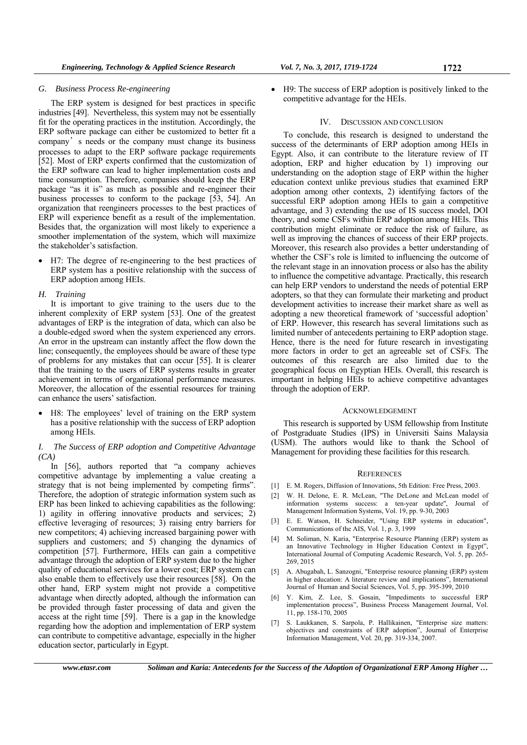## *G. Business Process Re-engineering*

The ERP system is designed for best practices in specific industries [49]. Nevertheless, this system may not be essentially fit for the operating practices in the institution. Accordingly, the ERP software package can either be customized to better fit a company's needs or the company must change its business processes to adapt to the ERP software package requirements [52]. Most of ERP experts confirmed that the customization of the ERP software can lead to higher implementation costs and time consumption. Therefore, companies should keep the ERP package "as it is" as much as possible and re-engineer their business processes to conform to the package [53, 54]. An organization that reengineers processes to the best practices of ERP will experience benefit as a result of the implementation. Besides that, the organization will most likely to experience a smoother implementation of the system, which will maximize the stakeholder's satisfaction.

 H7: The degree of re-engineering to the best practices of ERP system has a positive relationship with the success of ERP adoption among HEIs.

#### *H. Training*

It is important to give training to the users due to the inherent complexity of ERP system [53]. One of the greatest advantages of ERP is the integration of data, which can also be a double-edged sword when the system experienced any errors. An error in the upstream can instantly affect the flow down the line; consequently, the employees should be aware of these type of problems for any mistakes that can occur [55]. It is clearer that the training to the users of ERP systems results in greater achievement in terms of organizational performance measures. Moreover, the allocation of the essential resources for training can enhance the users' satisfaction.

 H8: The employees' level of training on the ERP system has a positive relationship with the success of ERP adoption among HEIs.

## *I. The Success of ERP adoption and Competitive Advantage (CA)*

In [56], authors reported that "a company achieves competitive advantage by implementing a value creating a strategy that is not being implemented by competing firms". Therefore, the adoption of strategic information system such as ERP has been linked to achieving capabilities as the following: 1) agility in offering innovative products and services; 2) effective leveraging of resources; 3) raising entry barriers for new competitors; 4) achieving increased bargaining power with suppliers and customers; and 5) changing the dynamics of competition [57]. Furthermore, HEIs can gain a competitive advantage through the adoption of ERP system due to the higher quality of educational services for a lower cost; ERP system can also enable them to effectively use their resources [58]. On the other hand, ERP system might not provide a competitive advantage when directly adopted, although the information can be provided through faster processing of data and given the access at the right time [59]. There is a gap in the knowledge regarding how the adoption and implementation of ERP system can contribute to competitive advantage, especially in the higher education sector, particularly in Egypt.

 H9: The success of ERP adoption is positively linked to the competitive advantage for the HEIs.

#### IV. DISCUSSION AND CONCLUSION

To conclude, this research is designed to understand the success of the determinants of ERP adoption among HEIs in Egypt. Also, it can contribute to the literature review of IT adoption, ERP and higher education by 1) improving our understanding on the adoption stage of ERP within the higher education context unlike previous studies that examined ERP adoption among other contexts, 2) identifying factors of the successful ERP adoption among HEIs to gain a competitive advantage, and 3) extending the use of IS success model, DOI theory, and some CSFs within ERP adoption among HEIs. This contribution might eliminate or reduce the risk of failure, as well as improving the chances of success of their ERP projects. Moreover, this research also provides a better understanding of whether the CSF's role is limited to influencing the outcome of the relevant stage in an innovation process or also has the ability to influence the competitive advantage. Practically, this research can help ERP vendors to understand the needs of potential ERP adopters, so that they can formulate their marketing and product development activities to increase their market share as well as adopting a new theoretical framework of 'successful adoption' of ERP. However, this research has several limitations such as limited number of antecedents pertaining to ERP adoption stage. Hence, there is the need for future research in investigating more factors in order to get an agreeable set of CSFs. The outcomes of this research are also limited due to the geographical focus on Egyptian HEIs. Overall, this research is important in helping HEIs to achieve competitive advantages through the adoption of ERP.

#### ACKNOWLEDGEMENT

This research is supported by USM fellowship from Institute of Postgraduate Studies (IPS) in Universiti Sains Malaysia (USM). The authors would like to thank the School of Management for providing these facilities for this research.

#### **REFERENCES**

- [1] E. M. Rogers, Diffusion of Innovations, 5th Edition: Free Press, 2003.
- [2] W. H. Delone, E. R. McLean, "The DeLone and McLean model of information systems success: a ten-year update", Journal of Management Information Systems, Vol. 19, pp. 9-30, 2003
- [3] E. E. Watson, H. Schneider, "Using ERP systems in education", Communications of the AIS, Vol. 1, p. 3, 1999
- [4] M. Soliman, N. Karia, "Enterprise Resource Planning (ERP) system as an Innovative Technology in Higher Education Context in Egypt", International Journal of Computing Academic Research, Vol. 5, pp. 265- 269, 2015
- [5] A. Abugabah, L. Sanzogni, "Enterprise resource planning (ERP) system in higher education: A literature review and implications", International Journal of Human and Social Sciences, Vol. 5, pp. 395-399, 2010
- [6] Y. Kim, Z. Lee, S. Gosain, "Impediments to successful ERP implementation process", Business Process Management Journal, Vol. 11, pp. 158-170, 2005
- [7] S. Laukkanen, S. Sarpola, P. Hallikainen, "Enterprise size matters: objectives and constraints of ERP adoption", Journal of Enterprise Information Management, Vol. 20, pp. 319-334, 2007.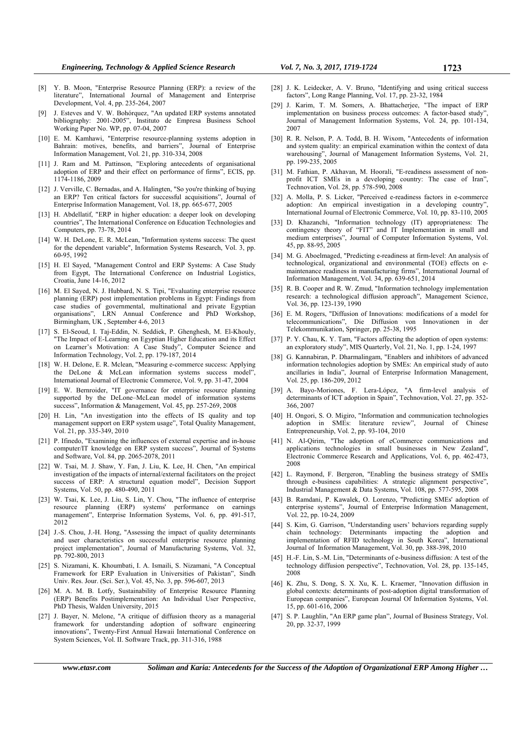- [8] Y. B. Moon, "Enterprise Resource Planning (ERP): a review of the literature", International Journal of Management and Enterprise Development, Vol. 4, pp. 235-264, 2007
- J. Esteves and V. W. Bohórquez, "An updated ERP systems annotated bibliography: 2001-2005", Instituto de Empresa Business School Working Paper No. WP, pp. 07-04, 2007
- [10] E. M. Kamhawi, "Enterprise resource-planning systems adoption in Bahrain: motives, benefits, and barriers", Journal of Enterprise Information Management, Vol. 21, pp. 310-334, 2008
- [11] J. Ram and M. Pattinson, "Exploring antecedents of organisational adoption of ERP and their effect on performance of firms", ECIS, pp. 1174-1186, 2009
- [12] J. Verville, C. Bernadas, and A. Halingten, "So you're thinking of buying an ERP? Ten critical factors for successful acquisitions", Journal of Enterprise Information Management, Vol. 18, pp. 665-677, 2005
- [13] H. Abdellatif, "ERP in higher education: a deeper look on developing countries", The International Conference on Education Technologies and Computers, pp. 73-78, 2014
- [14] W. H. DeLone, E. R. McLean, "Information systems success: The quest for the dependent variable", Information Systems Research, Vol. 3, pp. 60-95, 1992
- [15] H. El Sayed, "Management Control and ERP Systems: A Case Study from Egypt, The International Conference on Industrial Logistics, Croatia, June 14-16, 2012
- [16] M. El Sayed, N. J. Hubbard, N. S. Tipi, "Evaluating enterprise resource planning (ERP) post implementation problems in Egypt: Findings from case studies of governmental, multinational and private Egyptian organisations", LRN Annual Conference and PhD Workshop, Birmingham, UK , September 4-6, 2013
- [17] S. El-Seoud, I. Taj-Eddin, N. Seddiek, P. Ghenghesh, M. El-Khouly, "The Impact of E-Learning on Egyptian Higher Education and its Effect on Learner's Motivation: A Case Study", Computer Science and Information Technology, Vol. 2, pp. 179-187, 2014
- [18] W. H. Delone, E. R. Mclean, "Measuring e-commerce success: Applying the DeLone & McLean information systems success model", International Journal of Electronic Commerce, Vol. 9, pp. 31-47, 2004
- [19] E. W. Bernroider, "IT governance for enterprise resource planning supported by the DeLone–McLean model of information systems success", Information & Management, Vol. 45, pp. 257-269, 2008
- [20] H. Lin, "An investigation into the effects of IS quality and top management support on ERP system usage", Total Quality Management, Vol. 21, pp. 335-349, 2010
- [21] P. Ifinedo, "Examining the influences of external expertise and in-house computer/IT knowledge on ERP system success", Journal of Systems and Software, Vol. 84, pp. 2065-2078, 2011
- [22] W. Tsai, M. J. Shaw, Y. Fan, J. Liu, K. Lee, H. Chen, "An empirical investigation of the impacts of internal/external facilitators on the project success of ERP: A structural equation model", Decision Support Systems, Vol. 50, pp. 480-490, 2011
- [23] W. Tsai, K. Lee, J. Liu, S. Lin, Y. Chou, "The influence of enterprise resource planning (ERP) systems' performance on earnings management", Enterprise Information Systems, Vol. 6, pp. 491-517, 2012
- [24] J.-S. Chou, J.-H. Hong, "Assessing the impact of quality determinants and user characteristics on successful enterprise resource planning project implementation", Journal of Manufacturing Systems, Vol. 32, pp. 792-800, 2013
- [25] S. Nizamani, K. Khoumbati, I. A. Ismaili, S. Nizamani, "A Conceptual Framework for ERP Evaluation in Universities of Pakistan", Sindh Univ. Res. Jour. (Sci. Ser.), Vol. 45, No. 3, pp. 596-607, 2013
- [26] M. A. M. B. Lotfy, Sustainability of Enterprise Resource Planning (ERP) Benefits Postimplementation: An Individual User Perspective, PhD Thesis, Walden University, 2015
- [27] J. Bayer, N. Melone, "A critique of diffusion theory as a managerial framework for understanding adoption of software engineering innovations", Twenty-First Annual Hawaii International Conference on System Sciences, Vol. II. Software Track, pp. 311-316, 1988
- [28] J. K. Leidecker, A. V. Bruno, "Identifying and using critical success factors", Long Range Planning, Vol. 17, pp. 23-32, 1984
- [29] J. Karim, T. M. Somers, A. Bhattacherjee, "The impact of ERP implementation on business process outcomes: A factor-based study", Journal of Management Information Systems, Vol. 24, pp. 101-134, 2007
- [30] R. R. Nelson, P. A. Todd, B. H. Wixom, "Antecedents of information and system quality: an empirical examination within the context of data warehousing", Journal of Management Information Systems, Vol. 21, pp. 199-235, 2005
- [31] M. Fathian, P. Akhavan, M. Hoorali, "E-readiness assessment of nonprofit ICT SMEs in a developing country: The case of Iran", Technovation, Vol. 28, pp. 578-590, 2008
- [32] A. Molla, P. S. Licker, "Perceived e-readiness factors in e-commerce adoption: An empirical investigation in a developing country", International Journal of Electronic Commerce, Vol. 10, pp. 83-110, 2005
- [33] D. Khazanchi, "Information technology (IT) appropriateness: The contingency theory of "FIT" and IT Implementation in small and medium enterprises", Journal of Computer Information Systems, Vol. 45, pp. 88-95, 2005
- [34] M. G. Aboelmaged, "Predicting e-readiness at firm-level: An analysis of technological, organizational and environmental (TOE) effects on emaintenance readiness in manufacturing firms", International Journal of Information Management, Vol. 34, pp. 639-651, 2014
- [35] R. B. Cooper and R. W. Zmud, "Information technology implementation research: a technological diffusion approach", Management Science, Vol. 36, pp. 123-139, 1990
- [36] E. M. Rogers, "Diffusion of Innovations: modifications of a model for telecommunications", Die Diffusion von Innovationen in der Telekommunikation, Springer, pp. 25-38, 1995
- [37] P. Y. Chau, K. Y. Tam, "Factors affecting the adoption of open systems: an exploratory study", MIS Quarterly, Vol. 21, No. 1, pp. 1-24, 1997
- [38] G. Kannabiran, P. Dharmalingam, "Enablers and inhibitors of advanced information technologies adoption by SMEs: An empirical study of auto ancillaries in India", Journal of Enterprise Information Management, Vol. 25, pp. 186-209, 2012
- [39] A. Bayo-Moriones, F. Lera-López, "A firm-level analysis of determinants of ICT adoption in Spain", Technovation, Vol. 27, pp. 352- 366, 2007
- [40] H. Ongori, S. O. Migiro, "Information and communication technologies adoption in SMEs: literature review", Journal of Chinese Entrepreneurship, Vol. 2, pp. 93-104, 2010
- [41] N. Al-Qirim, "The adoption of eCommerce communications and applications technologies in small businesses in New Zealand", Electronic Commerce Research and Applications, Vol. 6, pp. 462-473, 2008
- [42] L. Raymond, F. Bergeron, "Enabling the business strategy of SMEs through e-business capabilities: A strategic alignment perspective", Industrial Management & Data Systems, Vol. 108, pp. 577-595, 2008
- [43] B. Ramdani, P. Kawalek, O. Lorenzo, "Predicting SMEs' adoption of enterprise systems", Journal of Enterprise Information Management, Vol. 22, pp. 10-24, 2009
- [44] S. Kim, G. Garrison, "Understanding users' behaviors regarding supply chain technology: Determinants impacting the adoption and implementation of RFID technology in South Korea", International Journal of Information Management, Vol. 30, pp. 388-398, 2010
- [45] H.-F. Lin, S.-M. Lin, "Determinants of e-business diffusion: A test of the technology diffusion perspective", Technovation, Vol. 28, pp. 135-145, 2008
- [46] K. Zhu, S. Dong, S. X. Xu, K. L. Kraemer, "Innovation diffusion in global contexts: determinants of post-adoption digital transformation of European companies", European Journal Of Information Systems, Vol. 15, pp. 601-616, 2006
- [47] S. P. Laughlin, "An ERP game plan", Journal of Business Strategy, Vol. 20, pp. 32-37, 1999